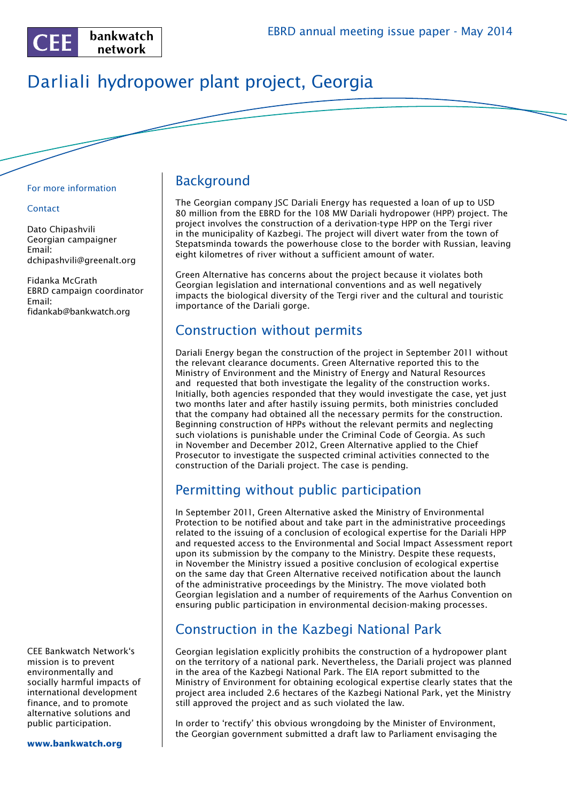

# Darliali hydropower plant project, Georgia

#### For more information

#### **Contact**

Dato Chipashvili Georgian campaigner Email: dchipashvili@greenalt.org

Fidanka McGrath EBRD campaign coordinator Email: fidankab@bankwatch.org

CEE Bankwatch Network's mission is to prevent environmentally and socially harmful impacts of international development finance, and to promote alternative solutions and public participation.

**www.bankwatch.org**

#### Background

The Georgian company JSC Dariali Energy has requested a loan of up to USD 80 million from the EBRD for the 108 MW Dariali hydropower (HPP) project. The project involves the construction of a derivation-type HPP on the Tergi river in the municipality of Kazbegi. The project will divert water from the town of Stepatsminda towards the powerhouse close to the border with Russian, leaving eight kilometres of river without a sufficient amount of water.

Green Alternative has concerns about the project because it violates both Georgian legislation and international conventions and as well negatively impacts the biological diversity of the Tergi river and the cultural and touristic importance of the Dariali gorge.

#### Construction without permits

Dariali Energy began the construction of the project in September 2011 without the relevant clearance documents. Green Alternative reported this to the Ministry of Environment and the Ministry of Energy and Natural Resources and requested that both investigate the legality of the construction works. Initially, both agencies responded that they would investigate the case, yet just two months later and after hastily issuing permits, both ministries concluded that the company had obtained all the necessary permits for the construction. Beginning construction of HPPs without the relevant permits and neglecting such violations is punishable under the Criminal Code of Georgia. As such in November and December 2012, Green Alternative applied to the Chief Prosecutor to investigate the suspected criminal activities connected to the construction of the Dariali project. The case is pending.

# Permitting without public participation

In September 2011, Green Alternative asked the Ministry of Environmental Protection to be notified about and take part in the administrative proceedings related to the issuing of a conclusion of ecological expertise for the Dariali HPP and requested access to the Environmental and Social Impact Assessment report upon its submission by the company to the Ministry. Despite these requests, in November the Ministry issued a positive conclusion of ecological expertise on the same day that Green Alternative received notification about the launch of the administrative proceedings by the Ministry. The move violated both Georgian legislation and a number of requirements of the Aarhus Convention on ensuring public participation in environmental decision-making processes.

# Construction in the Kazbegi National Park

Georgian legislation explicitly prohibits the construction of a hydropower plant on the territory of a national park. Nevertheless, the Dariali project was planned in the area of the Kazbegi National Park. The EIA report submitted to the Ministry of Environment for obtaining ecological expertise clearly states that the project area included 2.6 hectares of the Kazbegi National Park, yet the Ministry still approved the project and as such violated the law.

In order to 'rectify' this obvious wrongdoing by the Minister of Environment, the Georgian government submitted a draft law to Parliament envisaging the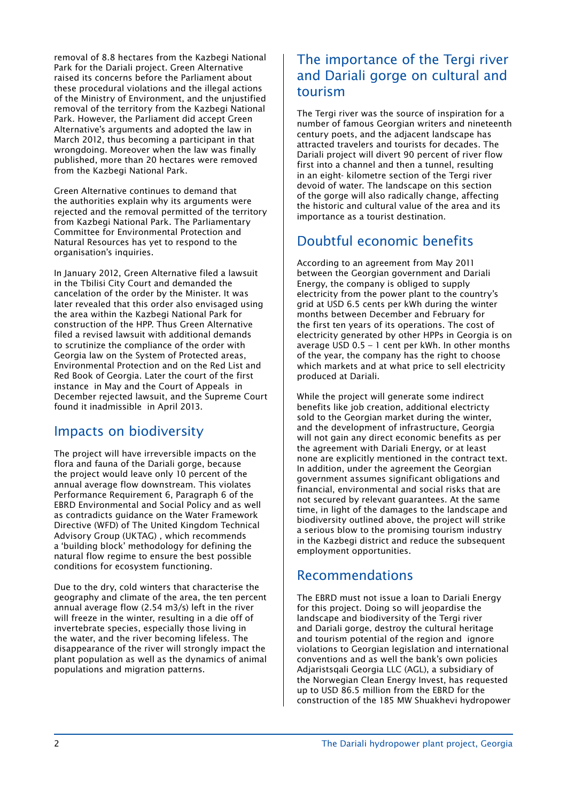removal of 8.8 hectares from the Kazbegi National Park for the Dariali project. Green Alternative raised its concerns before the Parliament about these procedural violations and the illegal actions of the Ministry of Environment, and the unjustified removal of the territory from the Kazbegi National Park. However, the Parliament did accept Green Alternative's arguments and adopted the law in March 2012, thus becoming a participant in that wrongdoing. Moreover when the law was finally published, more than 20 hectares were removed from the Kazbegi National Park.

Green Alternative continues to demand that the authorities explain why its arguments were rejected and the removal permitted of the territory from Kazbegi National Park. The Parliamentary Committee for Environmental Protection and Natural Resources has yet to respond to the organisation's inquiries.

In January 2012, Green Alternative filed a lawsuit in the Tbilisi City Court and demanded the cancelation of the order by the Minister. It was later revealed that this order also envisaged using the area within the Kazbegi National Park for construction of the HPP. Thus Green Alternative filed a revised lawsuit with additional demands to scrutinize the compliance of the order with Georgia law on the System of Protected areas, Environmental Protection and on the Red List and Red Book of Georgia. Later the court of the first instance in May and the Court of Appeals in December rejected lawsuit, and the Supreme Court found it inadmissible in April 2013.

### Impacts on biodiversity

The project will have irreversible impacts on the flora and fauna of the Dariali gorge, because the project would leave only 10 percent of the annual average flow downstream. This violates Performance Requirement 6, Paragraph 6 of the EBRD Environmental and Social Policy and as well as contradicts guidance on the Water Framework Directive (WFD) of The United Kingdom Technical Advisory Group (UKTAG) , which recommends a 'building block' methodology for defining the natural flow regime to ensure the best possible conditions for ecosystem functioning.

Due to the dry, cold winters that characterise the geography and climate of the area, the ten percent annual average flow (2.54 m3/s) left in the river will freeze in the winter, resulting in a die off of invertebrate species, especially those living in the water, and the river becoming lifeless. The disappearance of the river will strongly impact the plant population as well as the dynamics of animal populations and migration patterns.

### The importance of the Tergi river and Dariali gorge on cultural and tourism

The Tergi river was the source of inspiration for a number of famous Georgian writers and nineteenth century poets, and the adjacent landscape has attracted travelers and tourists for decades. The Dariali project will divert 90 percent of river flow first into a channel and then a tunnel, resulting in an eight- kilometre section of the Tergi river devoid of water. The landscape on this section of the gorge will also radically change, affecting the historic and cultural value of the area and its importance as a tourist destination.

# Doubtful economic benefits

According to an agreement from May 2011 between the Georgian government and Dariali Energy, the company is obliged to supply electricity from the power plant to the country's grid at USD 6.5 cents per kWh during the winter months between December and February for the first ten years of its operations. The cost of electricity generated by other HPPs in Georgia is on average USD 0.5 – 1 cent per kWh. In other months of the year, the company has the right to choose which markets and at what price to sell electricity produced at Dariali.

While the project will generate some indirect benefits like job creation, additional electricty sold to the Georgian market during the winter, and the development of infrastructure, Georgia will not gain any direct economic benefits as per the agreement with Dariali Energy, or at least none are explicitly mentioned in the contract text. In addition, under the agreement the Georgian government assumes significant obligations and financial, environmental and social risks that are not secured by relevant guarantees. At the same time, in light of the damages to the landscape and biodiversity outlined above, the project will strike a serious blow to the promising tourism industry in the Kazbegi district and reduce the subsequent employment opportunities.

### Recommendations

The EBRD must not issue a loan to Dariali Energy for this project. Doing so will jeopardise the landscape and biodiversity of the Tergi river and Dariali gorge, destroy the cultural heritage and tourism potential of the region and ignore violations to Georgian legislation and international conventions and as well the bank's own policies Adjaristsqali Georgia LLC (AGL), a subsidiary of the Norwegian Clean Energy Invest, has requested up to USD 86.5 million from the EBRD for the construction of the 185 MW Shuakhevi hydropower